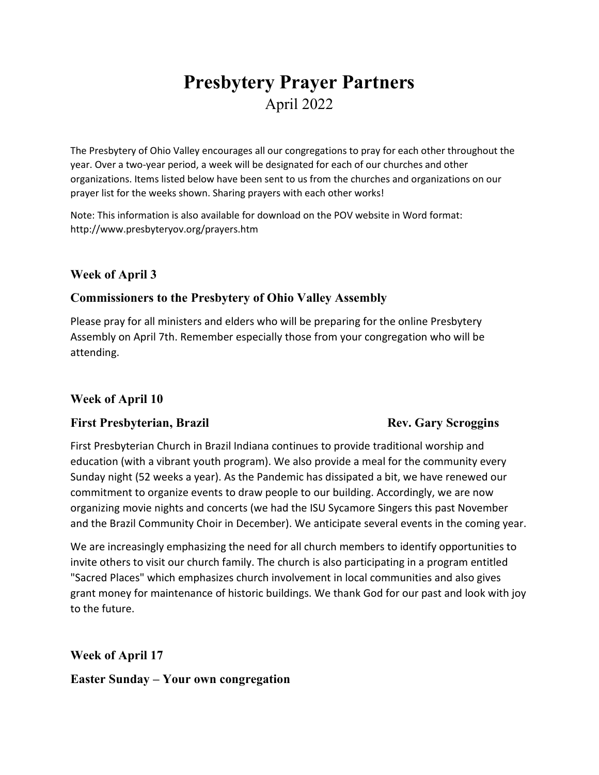# **Presbytery Prayer Partners** April 2022

The Presbytery of Ohio Valley encourages all our congregations to pray for each other throughout the year. Over a two-year period, a week will be designated for each of our churches and other organizations. Items listed below have been sent to us from the churches and organizations on our prayer list for the weeks shown. Sharing prayers with each other works!

Note: This information is also available for download on the POV website in Word format: http://www.presbyteryov.org/prayers.htm

## **Week of April 3**

### **Commissioners to the Presbytery of Ohio Valley Assembly**

Please pray for all ministers and elders who will be preparing for the online Presbytery Assembly on April 7th. Remember especially those from your congregation who will be attending.

# **Week of April 10**

### **First Presbyterian, Brazil Rev. Gary Scroggins**

First Presbyterian Church in Brazil Indiana continues to provide traditional worship and education (with a vibrant youth program). We also provide a meal for the community every Sunday night (52 weeks a year). As the Pandemic has dissipated a bit, we have renewed our commitment to organize events to draw people to our building. Accordingly, we are now organizing movie nights and concerts (we had the ISU Sycamore Singers this past November and the Brazil Community Choir in December). We anticipate several events in the coming year.

We are increasingly emphasizing the need for all church members to identify opportunities to invite others to visit our church family. The church is also participating in a program entitled "Sacred Places" which emphasizes church involvement in local communities and also gives grant money for maintenance of historic buildings. We thank God for our past and look with joy to the future.

**Week of April 17 Easter Sunday – Your own congregation**